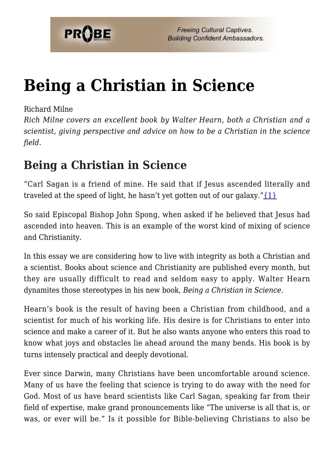

# **[Being a Christian in Science](https://probe.org/being-a-christian-in-science/)**

#### Richard Milne

*Rich Milne covers an excellent book by Walter Hearn, both a Christian and a scientist, giving perspective and advice on how to be a Christian in the science field.*

### **Being a Christian in Science**

"Carl Sagan is a friend of mine. He said that if Jesus ascended literally and traveled at the speed of light, he hasn't yet gotten out of our galaxy." $\{1\}$ 

So said Episcopal Bishop John Spong, when asked if he believed that Jesus had ascended into heaven. This is an example of the worst kind of mixing of science and Christianity.

In this essay we are considering how to live with integrity as both a Christian and a scientist. Books about science and Christianity are published every month, but they are usually difficult to read and seldom easy to apply. Walter Hearn dynamites those stereotypes in his new book, *Being a Christian in Science*.

Hearn's book is the result of having been a Christian from childhood, and a scientist for much of his working life. His desire is for Christians to enter into science and make a career of it. But he also wants anyone who enters this road to know what joys and obstacles lie ahead around the many bends. His book is by turns intensely practical and deeply devotional.

Ever since Darwin, many Christians have been uncomfortable around science. Many of us have the feeling that science is trying to do away with the need for God. Most of us have heard scientists like Carl Sagan, speaking far from their field of expertise, make grand pronouncements like "The universe is all that is, or was, or ever will be." Is it possible for Bible-believing Christians to also be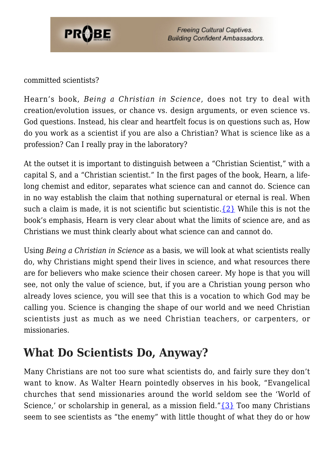

#### committed scientists?

Hearn's book, *Being a Christian in Science*, does not try to deal with creation/evolution issues, or chance vs. design arguments, or even science vs. God questions. Instead, his clear and heartfelt focus is on questions such as, How do you work as a scientist if you are also a Christian? What is science like as a profession? Can I really pray in the laboratory?

At the outset it is important to distinguish between a "Christian Scientist," with a capital S, and a "Christian scientist." In the first pages of the book, Hearn, a lifelong chemist and editor, separates what science can and cannot do. Science can in no way establish the claim that nothing supernatural or eternal is real. When such a claim is made, it is not scientific but scientistic.  $\{2\}$  While this is not the book's emphasis, Hearn is very clear about what the limits of science are, and as Christians we must think clearly about what science can and cannot do.

Using *Being a Christian in Science* as a basis, we will look at what scientists really do, why Christians might spend their lives in science, and what resources there are for believers who make science their chosen career. My hope is that you will see, not only the value of science, but, if you are a Christian young person who already loves science, you will see that this is a vocation to which God may be calling you. Science is changing the shape of our world and we need Christian scientists just as much as we need Christian teachers, or carpenters, or missionaries.

#### **What Do Scientists Do, Anyway?**

Many Christians are not too sure what scientists do, and fairly sure they don't want to know. As Walter Hearn pointedly observes in his book, "Evangelical churches that send missionaries around the world seldom see the 'World of Science,' or scholarship in general, as a mission field." $\{3\}$  Too many Christians seem to see scientists as "the enemy" with little thought of what they do or how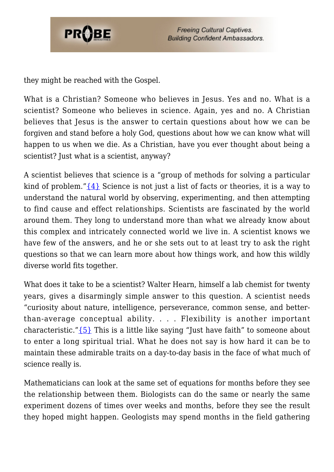

they might be reached with the Gospel.

What is a Christian? Someone who believes in Jesus. Yes and no. What is a scientist? Someone who believes in science. Again, yes and no. A Christian believes that Jesus is the answer to certain questions about how we can be forgiven and stand before a holy God, questions about how we can know what will happen to us when we die. As a Christian, have you ever thought about being a scientist? Just what is a scientist, anyway?

A scientist believes that science is a "group of methods for solving a particular kind of problem." $\{4\}$  Science is not just a list of facts or theories, it is a way to understand the natural world by observing, experimenting, and then attempting to find cause and effect relationships. Scientists are fascinated by the world around them. They long to understand more than what we already know about this complex and intricately connected world we live in. A scientist knows we have few of the answers, and he or she sets out to at least try to ask the right questions so that we can learn more about how things work, and how this wildly diverse world fits together.

What does it take to be a scientist? Walter Hearn, himself a lab chemist for twenty years, gives a disarmingly simple answer to this question. A scientist needs "curiosity about nature, intelligence, perseverance, common sense, and betterthan-average conceptual ability. . . . Flexibility is another important characteristic." $\{5\}$  This is a little like saying "Just have faith" to someone about to enter a long spiritual trial. What he does not say is how hard it can be to maintain these admirable traits on a day-to-day basis in the face of what much of science really is.

Mathematicians can look at the same set of equations for months before they see the relationship between them. Biologists can do the same or nearly the same experiment dozens of times over weeks and months, before they see the result they hoped might happen. Geologists may spend months in the field gathering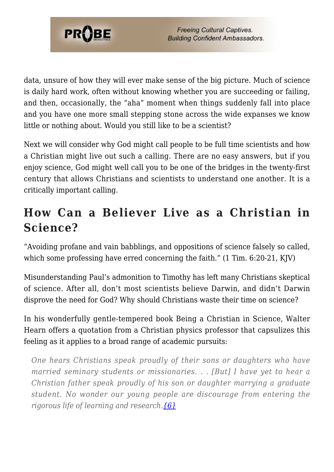

data, unsure of how they will ever make sense of the big picture. Much of science is daily hard work, often without knowing whether you are succeeding or failing, and then, occasionally, the "aha" moment when things suddenly fall into place and you have one more small stepping stone across the wide expanses we know little or nothing about. Would you still like to be a scientist?

Next we will consider why God might call people to be full time scientists and how a Christian might live out such a calling. There are no easy answers, but if you enjoy science, God might well call you to be one of the bridges in the twenty-first century that allows Christians and scientists to understand one another. It is a critically important calling.

## **How Can a Believer Live as a Christian in Science?**

"Avoiding profane and vain babblings, and oppositions of science falsely so called, which some professing have erred concerning the faith." (1 Tim. 6:20-21, KJV)

Misunderstanding Paul's admonition to Timothy has left many Christians skeptical of science. After all, don't most scientists believe Darwin, and didn't Darwin disprove the need for God? Why should Christians waste their time on science?

In his wonderfully gentle-tempered book Being a Christian in Science, Walter Hearn offers a quotation from a Christian physics professor that capsulizes this feeling as it applies to a broad range of academic pursuits:

*One hears Christians speak proudly of their sons or daughters who have married seminary students or missionaries. . . [But] I have yet to hear a Christian father speak proudly of his son or daughter marrying a graduate student. No wonder our young people are discourage from entering the rigorous life of learning and research.[{6}](#page-8-5)*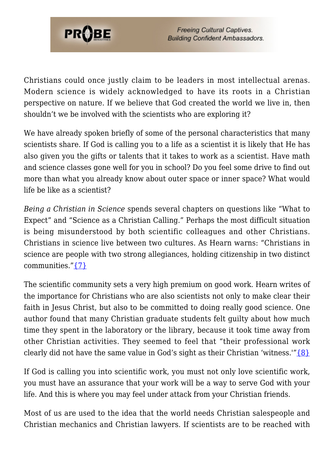

Christians could once justly claim to be leaders in most intellectual arenas. Modern science is widely acknowledged to have its roots in a Christian perspective on nature. If we believe that God created the world we live in, then shouldn't we be involved with the scientists who are exploring it?

We have already spoken briefly of some of the personal characteristics that many scientists share. If God is calling you to a life as a scientist it is likely that He has also given you the gifts or talents that it takes to work as a scientist. Have math and science classes gone well for you in school? Do you feel some drive to find out more than what you already know about outer space or inner space? What would life be like as a scientist?

*Being a Christian in Science* spends several chapters on questions like "What to Expect" and "Science as a Christian Calling." Perhaps the most difficult situation is being misunderstood by both scientific colleagues and other Christians. Christians in science live between two cultures. As Hearn warns: "Christians in science are people with two strong allegiances, holding citizenship in two distinct communities.["{7}](#page-8-6)

The scientific community sets a very high premium on good work. Hearn writes of the importance for Christians who are also scientists not only to make clear their faith in Jesus Christ, but also to be committed to doing really good science. One author found that many Christian graduate students felt guilty about how much time they spent in the laboratory or the library, because it took time away from other Christian activities. They seemed to feel that "their professional work clearly did not have the same value in God's sight as their Christian 'witness.'" $\{8\}$ 

If God is calling you into scientific work, you must not only love scientific work, you must have an assurance that your work will be a way to serve God with your life. And this is where you may feel under attack from your Christian friends.

Most of us are used to the idea that the world needs Christian salespeople and Christian mechanics and Christian lawyers. If scientists are to be reached with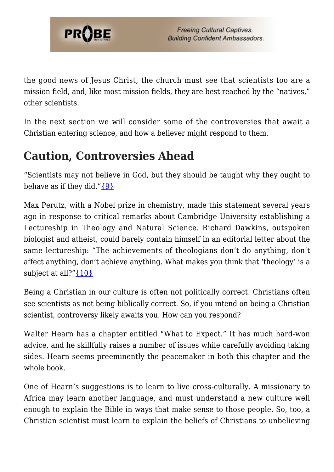

the good news of Jesus Christ, the church must see that scientists too are a mission field, and, like most mission fields, they are best reached by the "natives," other scientists.

In the next section we will consider some of the controversies that await a Christian entering science, and how a believer might respond to them.

# **Caution, Controversies Ahead**

"Scientists may not believe in God, but they should be taught why they ought to behave as if they did." ${9}$ 

Max Perutz, with a Nobel prize in chemistry, made this statement several years ago in response to critical remarks about Cambridge University establishing a Lectureship in Theology and Natural Science. Richard Dawkins, outspoken biologist and atheist, could barely contain himself in an editorial letter about the same lectureship: "The achievements of theologians don't do anything, don't affect anything, don't achieve anything. What makes you think that 'theology' is a subject at all?" $\{10\}$ 

Being a Christian in our culture is often not politically correct. Christians often see scientists as not being biblically correct. So, if you intend on being a Christian scientist, controversy likely awaits you. How can you respond?

Walter Hearn has a chapter entitled "What to Expect." It has much hard-won advice, and he skillfully raises a number of issues while carefully avoiding taking sides. Hearn seems preeminently the peacemaker in both this chapter and the whole book.

One of Hearn's suggestions is to learn to live cross-culturally. A missionary to Africa may learn another language, and must understand a new culture well enough to explain the Bible in ways that make sense to those people. So, too, a Christian scientist must learn to explain the beliefs of Christians to unbelieving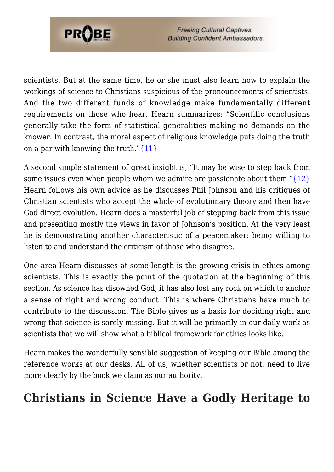

scientists. But at the same time, he or she must also learn how to explain the workings of science to Christians suspicious of the pronouncements of scientists. And the two different funds of knowledge make fundamentally different requirements on those who hear. Hearn summarizes: "Scientific conclusions generally take the form of statistical generalities making no demands on the knower. In contrast, the moral aspect of religious knowledge puts doing the truth on a par with knowing the truth." ${11}$ 

A second simple statement of great insight is, "It may be wise to step back from some issues even when people whom we admire are passionate about them." $\{12\}$ Hearn follows his own advice as he discusses Phil Johnson and his critiques of Christian scientists who accept the whole of evolutionary theory and then have God direct evolution. Hearn does a masterful job of stepping back from this issue and presenting mostly the views in favor of Johnson's position. At the very least he is demonstrating another characteristic of a peacemaker: being willing to listen to and understand the criticism of those who disagree.

One area Hearn discusses at some length is the growing crisis in ethics among scientists. This is exactly the point of the quotation at the beginning of this section. As science has disowned God, it has also lost any rock on which to anchor a sense of right and wrong conduct. This is where Christians have much to contribute to the discussion. The Bible gives us a basis for deciding right and wrong that science is sorely missing. But it will be primarily in our daily work as scientists that we will show what a biblical framework for ethics looks like.

Hearn makes the wonderfully sensible suggestion of keeping our Bible among the reference works at our desks. All of us, whether scientists or not, need to live more clearly by the book we claim as our authority.

#### **Christians in Science Have a Godly Heritage to**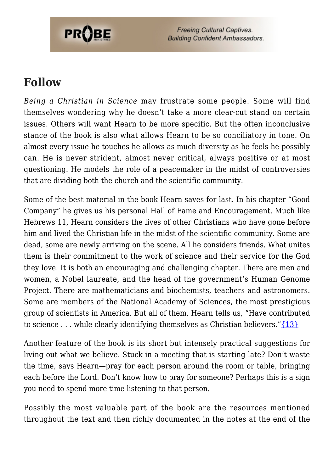

#### **Follow**

*Being a Christian in Science* may frustrate some people. Some will find themselves wondering why he doesn't take a more clear-cut stand on certain issues. Others will want Hearn to be more specific. But the often inconclusive stance of the book is also what allows Hearn to be so conciliatory in tone. On almost every issue he touches he allows as much diversity as he feels he possibly can. He is never strident, almost never critical, always positive or at most questioning. He models the role of a peacemaker in the midst of controversies that are dividing both the church and the scientific community.

Some of the best material in the book Hearn saves for last. In his chapter "Good Company" he gives us his personal Hall of Fame and Encouragement. Much like Hebrews 11, Hearn considers the lives of other Christians who have gone before him and lived the Christian life in the midst of the scientific community. Some are dead, some are newly arriving on the scene. All he considers friends. What unites them is their commitment to the work of science and their service for the God they love. It is both an encouraging and challenging chapter. There are men and women, a Nobel laureate, and the head of the government's Human Genome Project. There are mathematicians and biochemists, teachers and astronomers. Some are members of the National Academy of Sciences, the most prestigious group of scientists in America. But all of them, Hearn tells us, "Have contributed to science ... while clearly identifying themselves as Christian believers." $\{13\}$ 

Another feature of the book is its short but intensely practical suggestions for living out what we believe. Stuck in a meeting that is starting late? Don't waste the time, says Hearn—pray for each person around the room or table, bringing each before the Lord. Don't know how to pray for someone? Perhaps this is a sign you need to spend more time listening to that person.

Possibly the most valuable part of the book are the resources mentioned throughout the text and then richly documented in the notes at the end of the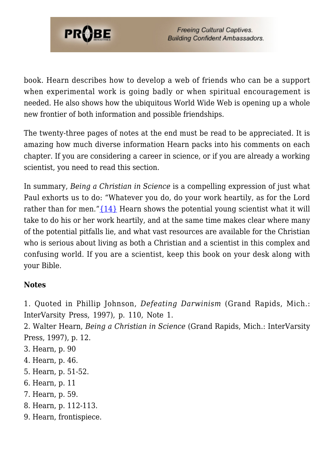

book. Hearn describes how to develop a web of friends who can be a support when experimental work is going badly or when spiritual encouragement is needed. He also shows how the ubiquitous World Wide Web is opening up a whole new frontier of both information and possible friendships.

The twenty-three pages of notes at the end must be read to be appreciated. It is amazing how much diverse information Hearn packs into his comments on each chapter. If you are considering a career in science, or if you are already a working scientist, you need to read this section.

In summary, *Being a Christian in Science* is a compelling expression of just what Paul exhorts us to do: "Whatever you do, do your work heartily, as for the Lord rather than for men." $\{14\}$  Hearn shows the potential young scientist what it will take to do his or her work heartily, and at the same time makes clear where many of the potential pitfalls lie, and what vast resources are available for the Christian who is serious about living as both a Christian and a scientist in this complex and confusing world. If you are a scientist, keep this book on your desk along with your Bible.

#### **Notes**

<span id="page-8-0"></span>1. Quoted in Phillip Johnson, *Defeating Darwinism* (Grand Rapids, Mich.: InterVarsity Press, 1997), p. 110, Note 1.

<span id="page-8-1"></span>2. Walter Hearn, *Being a Christian in Science* (Grand Rapids, Mich.: InterVarsity Press, 1997), p. 12.

- <span id="page-8-2"></span>3. Hearn, p. 90
- <span id="page-8-3"></span>4. Hearn, p. 46.
- <span id="page-8-4"></span>5. Hearn, p. 51-52.
- <span id="page-8-5"></span>6. Hearn, p. 11
- <span id="page-8-6"></span>7. Hearn, p. 59.
- <span id="page-8-7"></span>8. Hearn, p. 112-113.
- <span id="page-8-9"></span><span id="page-8-8"></span>9. Hearn, frontispiece.